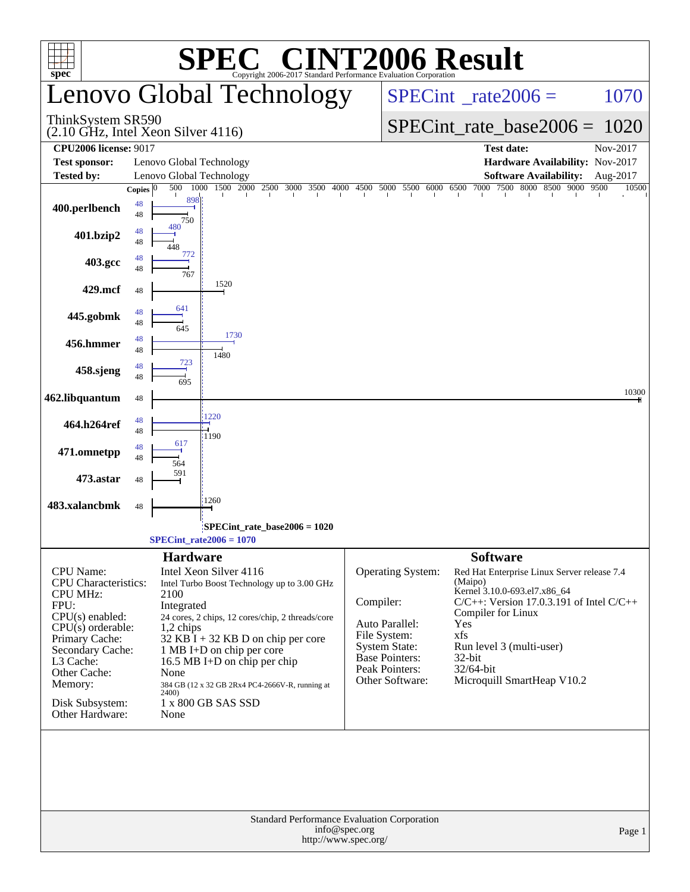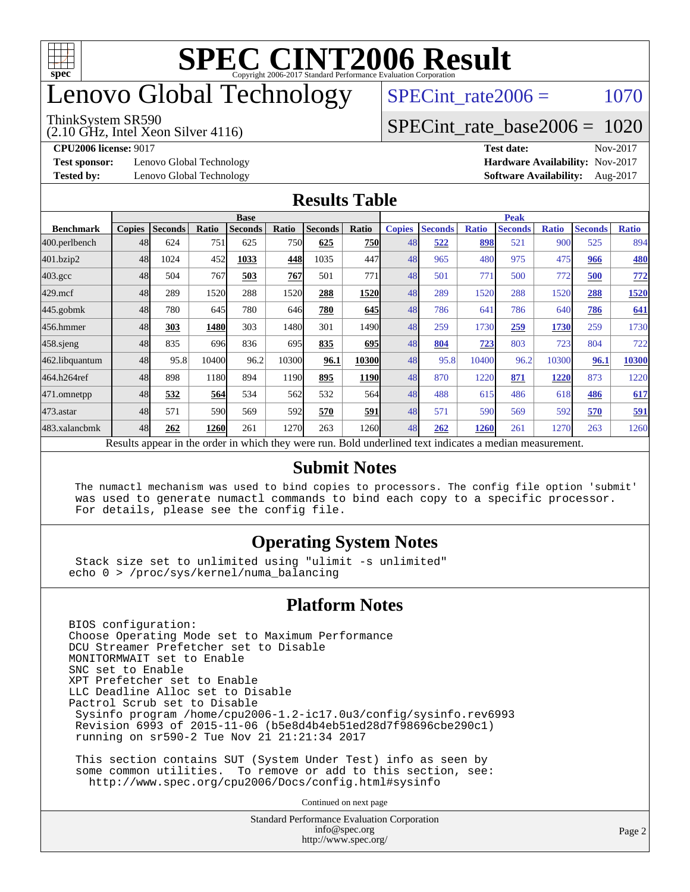

## enovo Global Technology

#### ThinkSystem SR590

(2.10 GHz, Intel Xeon Silver 4116)

SPECint rate $2006 = 1070$ 

#### [SPECint\\_rate\\_base2006 =](http://www.spec.org/auto/cpu2006/Docs/result-fields.html#SPECintratebase2006) 1020

**[Test sponsor:](http://www.spec.org/auto/cpu2006/Docs/result-fields.html#Testsponsor)** Lenovo Global Technology **[Hardware Availability:](http://www.spec.org/auto/cpu2006/Docs/result-fields.html#HardwareAvailability)** Nov-2017

**[CPU2006 license:](http://www.spec.org/auto/cpu2006/Docs/result-fields.html#CPU2006license)** 9017 **[Test date:](http://www.spec.org/auto/cpu2006/Docs/result-fields.html#Testdate)** Nov-2017 **[Tested by:](http://www.spec.org/auto/cpu2006/Docs/result-fields.html#Testedby)** Lenovo Global Technology **[Software Availability:](http://www.spec.org/auto/cpu2006/Docs/result-fields.html#SoftwareAvailability)** Aug-2017

#### **[Results Table](http://www.spec.org/auto/cpu2006/Docs/result-fields.html#ResultsTable)**

|                    | <b>Base</b>   |                |              |                |       |                |             | <b>Peak</b>   |                |              |                                                                                                          |              |                |              |
|--------------------|---------------|----------------|--------------|----------------|-------|----------------|-------------|---------------|----------------|--------------|----------------------------------------------------------------------------------------------------------|--------------|----------------|--------------|
| <b>Benchmark</b>   | <b>Copies</b> | <b>Seconds</b> | <b>Ratio</b> | <b>Seconds</b> | Ratio | <b>Seconds</b> | Ratio       | <b>Copies</b> | <b>Seconds</b> | <b>Ratio</b> | <b>Seconds</b>                                                                                           | <b>Ratio</b> | <b>Seconds</b> | <b>Ratio</b> |
| 400.perlbench      | 48            | 624            | 751          | 625            | 750I  | 625            | <b>750</b>  | 48            | 522            | 898          | 521                                                                                                      | 900          | 525            | 894          |
| 401.bzip2          | 48            | 1024           | 452          | 1033           | 448   | 1035           | 447         | 48            | 965            | 480          | 975                                                                                                      | 475          | 966            | 480          |
| $403.\mathrm{gcc}$ | 48            | 504            | 767          | 503            | 767   | 501            | 771         | 48            | 501            | 771          | 500                                                                                                      | 772          | 500            | <b>772</b>   |
| $429$ .mcf         | 48            | 289            | 1520         | 288            | 1520  | 288            | 1520        | 48            | 289            | 1520         | 288                                                                                                      | 1520         | 288            | 1520         |
| $445$ .gobmk       | 48            | 780            | 645          | 780            | 646   | 780            | 645         | 48            | 786            | 641          | 786                                                                                                      | 640          | <u>786</u>     | 641          |
| 456.hmmer          | 48            | 303            | 1480         | 303            | 1480  | 301            | 1490        | 48            | 259            | 1730         | 259                                                                                                      | 1730         | 259            | 1730         |
| $458$ .sjeng       | 48            | 835            | 696          | 836            | 695   | 835            | 695l        | 48            | 804            | 723          | 803                                                                                                      | 723          | 804            | 722          |
| 462.libquantum     | 48            | 95.8           | 10400        | 96.2           | 10300 | 96.1           | 10300       | 48            | 95.8           | 10400        | 96.2                                                                                                     | 10300        | 96.1           | 10300        |
| 464.h264ref        | 48            | 898            | 1180         | 894            | 1190  | 895            | <b>1190</b> | 48            | 870            | 1220         | 871                                                                                                      | 1220         | 873            | 1220         |
| 471.omnetpp        | 48            | 532            | 564          | 534            | 562   | 532            | 564         | 48            | 488            | 615          | 486                                                                                                      | 618          | 486            | 617          |
| $473$ . astar      | 48            | 571            | 590          | 569            | 592   | 570            | 591         | 48            | 571            | 590          | 569                                                                                                      | 592          | 570            | 591          |
| 483.xalancbmk      | 48            | 262            | 1260         | 261            | 1270  | 263            | 1260        | 48            | 262            | 1260         | 261                                                                                                      | 1270         | 263            | 1260         |
|                    |               |                |              |                |       |                |             |               |                |              | Results appear in the order in which they were run. Bold underlined text indicates a median measurement. |              |                |              |

#### **[Submit Notes](http://www.spec.org/auto/cpu2006/Docs/result-fields.html#SubmitNotes)**

 The numactl mechanism was used to bind copies to processors. The config file option 'submit' was used to generate numactl commands to bind each copy to a specific processor. For details, please see the config file.

#### **[Operating System Notes](http://www.spec.org/auto/cpu2006/Docs/result-fields.html#OperatingSystemNotes)**

 Stack size set to unlimited using "ulimit -s unlimited" echo 0 > /proc/sys/kernel/numa\_balancing

#### **[Platform Notes](http://www.spec.org/auto/cpu2006/Docs/result-fields.html#PlatformNotes)**

BIOS configuration: Choose Operating Mode set to Maximum Performance DCU Streamer Prefetcher set to Disable MONITORMWAIT set to Enable SNC set to Enable XPT Prefetcher set to Enable LLC Deadline Alloc set to Disable Pactrol Scrub set to Disable Sysinfo program /home/cpu2006-1.2-ic17.0u3/config/sysinfo.rev6993 Revision 6993 of 2015-11-06 (b5e8d4b4eb51ed28d7f98696cbe290c1) running on sr590-2 Tue Nov 21 21:21:34 2017

 This section contains SUT (System Under Test) info as seen by some common utilities. To remove or add to this section, see: <http://www.spec.org/cpu2006/Docs/config.html#sysinfo>

Continued on next page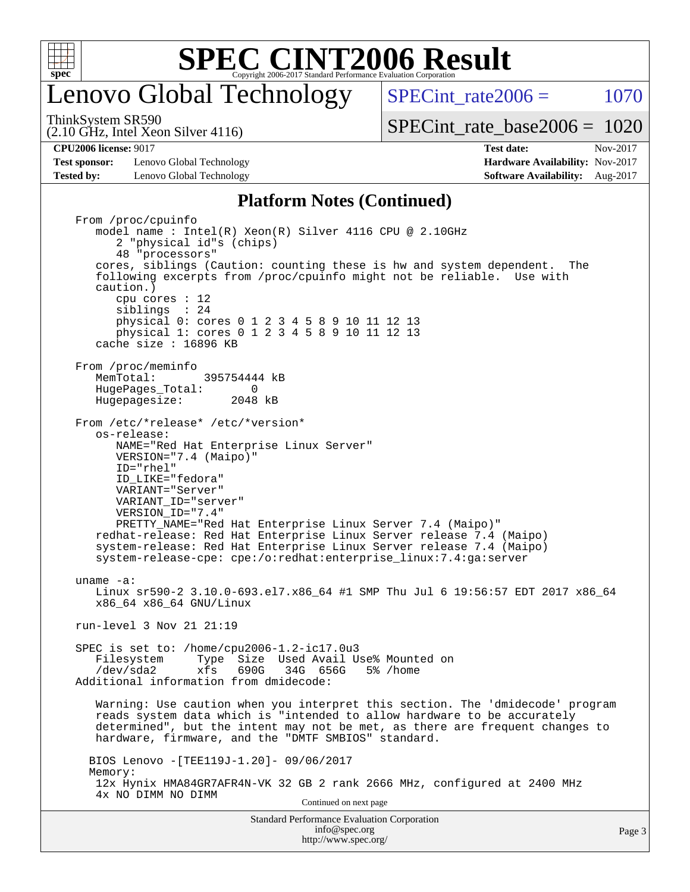

### enovo Global Technology

SPECint rate $2006 = 1070$ 

(2.10 GHz, Intel Xeon Silver 4116) ThinkSystem SR590

[SPECint\\_rate\\_base2006 =](http://www.spec.org/auto/cpu2006/Docs/result-fields.html#SPECintratebase2006) 1020

**[Test sponsor:](http://www.spec.org/auto/cpu2006/Docs/result-fields.html#Testsponsor)** Lenovo Global Technology **[Hardware Availability:](http://www.spec.org/auto/cpu2006/Docs/result-fields.html#HardwareAvailability)** Nov-2017 **[Tested by:](http://www.spec.org/auto/cpu2006/Docs/result-fields.html#Testedby)** Lenovo Global Technology **[Software Availability:](http://www.spec.org/auto/cpu2006/Docs/result-fields.html#SoftwareAvailability)** Aug-2017

**[CPU2006 license:](http://www.spec.org/auto/cpu2006/Docs/result-fields.html#CPU2006license)** 9017 **[Test date:](http://www.spec.org/auto/cpu2006/Docs/result-fields.html#Testdate)** Nov-2017

#### **[Platform Notes \(Continued\)](http://www.spec.org/auto/cpu2006/Docs/result-fields.html#PlatformNotes)**

Standard Performance Evaluation Corporation [info@spec.org](mailto:info@spec.org) From /proc/cpuinfo model name : Intel(R) Xeon(R) Silver 4116 CPU @ 2.10GHz 2 "physical id"s (chips) 48 "processors" cores, siblings (Caution: counting these is hw and system dependent. The following excerpts from /proc/cpuinfo might not be reliable. Use with caution.) cpu cores : 12 siblings : 24 physical 0: cores 0 1 2 3 4 5 8 9 10 11 12 13 physical 1: cores 0 1 2 3 4 5 8 9 10 11 12 13 cache size : 16896 KB From /proc/meminfo<br>MemTotal: 395754444 kB HugePages\_Total: 0<br>Hugepagesize: 2048 kB Hugepagesize: From /etc/\*release\* /etc/\*version\* os-release: NAME="Red Hat Enterprise Linux Server" VERSION="7.4 (Maipo)" ID="rhel" ID\_LIKE="fedora" VARIANT="Server" VARIANT\_ID="server" VERSION\_ID="7.4" PRETTY\_NAME="Red Hat Enterprise Linux Server 7.4 (Maipo)" redhat-release: Red Hat Enterprise Linux Server release 7.4 (Maipo) system-release: Red Hat Enterprise Linux Server release 7.4 (Maipo) system-release-cpe: cpe:/o:redhat:enterprise\_linux:7.4:ga:server uname -a: Linux sr590-2 3.10.0-693.el7.x86\_64 #1 SMP Thu Jul 6 19:56:57 EDT 2017 x86\_64 x86\_64 x86\_64 GNU/Linux run-level 3 Nov 21 21:19 SPEC is set to: /home/cpu2006-1.2-ic17.0u3 Filesystem Type Size Used Avail Use% Mounted on<br>
/dev/sda2 xfs 690G 34G 656G 5% /home xfs 690G 34G 656G 5% /home Additional information from dmidecode: Warning: Use caution when you interpret this section. The 'dmidecode' program reads system data which is "intended to allow hardware to be accurately determined", but the intent may not be met, as there are frequent changes to hardware, firmware, and the "DMTF SMBIOS" standard. BIOS Lenovo -[TEE119J-1.20]- 09/06/2017 Memory: 12x Hynix HMA84GR7AFR4N-VK 32 GB 2 rank 2666 MHz, configured at 2400 MHz 4x NO DIMM NO DIMM Continued on next page

<http://www.spec.org/>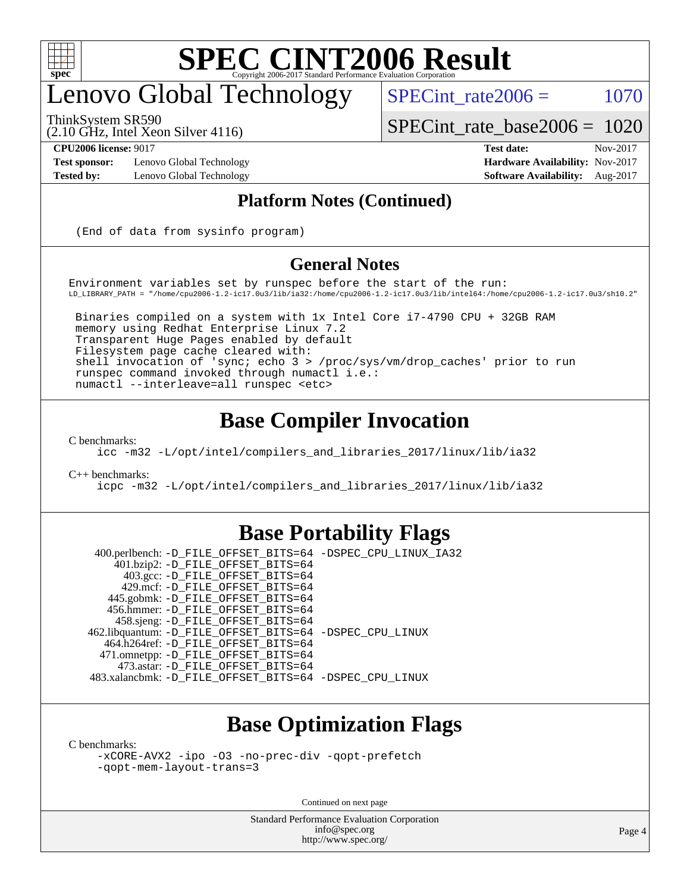

## enovo Global Technology

SPECint rate $2006 = 1070$ 

(2.10 GHz, Intel Xeon Silver 4116) ThinkSystem SR590

[SPECint\\_rate\\_base2006 =](http://www.spec.org/auto/cpu2006/Docs/result-fields.html#SPECintratebase2006) 1020

**[Test sponsor:](http://www.spec.org/auto/cpu2006/Docs/result-fields.html#Testsponsor)** Lenovo Global Technology **[Hardware Availability:](http://www.spec.org/auto/cpu2006/Docs/result-fields.html#HardwareAvailability)** Nov-2017

**[CPU2006 license:](http://www.spec.org/auto/cpu2006/Docs/result-fields.html#CPU2006license)** 9017 **[Test date:](http://www.spec.org/auto/cpu2006/Docs/result-fields.html#Testdate)** Nov-2017 **[Tested by:](http://www.spec.org/auto/cpu2006/Docs/result-fields.html#Testedby)** Lenovo Global Technology **[Software Availability:](http://www.spec.org/auto/cpu2006/Docs/result-fields.html#SoftwareAvailability)** Aug-2017

#### **[Platform Notes \(Continued\)](http://www.spec.org/auto/cpu2006/Docs/result-fields.html#PlatformNotes)**

(End of data from sysinfo program)

#### **[General Notes](http://www.spec.org/auto/cpu2006/Docs/result-fields.html#GeneralNotes)**

Environment variables set by runspec before the start of the run: LD\_LIBRARY\_PATH = "/home/cpu2006-1.2-ic17.0u3/lib/ia32:/home/cpu2006-1.2-ic17.0u3/lib/intel64:/home/cpu2006-1.2-ic17.0u3/sh10.2"

 Binaries compiled on a system with 1x Intel Core i7-4790 CPU + 32GB RAM memory using Redhat Enterprise Linux 7.2 Transparent Huge Pages enabled by default Filesystem page cache cleared with: shell invocation of 'sync; echo 3 > /proc/sys/vm/drop\_caches' prior to run runspec command invoked through numactl i.e.: numactl --interleave=all runspec <etc>

### **[Base Compiler Invocation](http://www.spec.org/auto/cpu2006/Docs/result-fields.html#BaseCompilerInvocation)**

[C benchmarks](http://www.spec.org/auto/cpu2006/Docs/result-fields.html#Cbenchmarks):

[icc -m32 -L/opt/intel/compilers\\_and\\_libraries\\_2017/linux/lib/ia32](http://www.spec.org/cpu2006/results/res2017q4/cpu2006-20171128-50921.flags.html#user_CCbase_intel_icc_c29f3ff5a7ed067b11e4ec10a03f03ae)

[C++ benchmarks:](http://www.spec.org/auto/cpu2006/Docs/result-fields.html#CXXbenchmarks)

[icpc -m32 -L/opt/intel/compilers\\_and\\_libraries\\_2017/linux/lib/ia32](http://www.spec.org/cpu2006/results/res2017q4/cpu2006-20171128-50921.flags.html#user_CXXbase_intel_icpc_8c35c7808b62dab9ae41a1aa06361b6b)

### **[Base Portability Flags](http://www.spec.org/auto/cpu2006/Docs/result-fields.html#BasePortabilityFlags)**

 400.perlbench: [-D\\_FILE\\_OFFSET\\_BITS=64](http://www.spec.org/cpu2006/results/res2017q4/cpu2006-20171128-50921.flags.html#user_basePORTABILITY400_perlbench_file_offset_bits_64_438cf9856305ebd76870a2c6dc2689ab) [-DSPEC\\_CPU\\_LINUX\\_IA32](http://www.spec.org/cpu2006/results/res2017q4/cpu2006-20171128-50921.flags.html#b400.perlbench_baseCPORTABILITY_DSPEC_CPU_LINUX_IA32) 401.bzip2: [-D\\_FILE\\_OFFSET\\_BITS=64](http://www.spec.org/cpu2006/results/res2017q4/cpu2006-20171128-50921.flags.html#user_basePORTABILITY401_bzip2_file_offset_bits_64_438cf9856305ebd76870a2c6dc2689ab) 403.gcc: [-D\\_FILE\\_OFFSET\\_BITS=64](http://www.spec.org/cpu2006/results/res2017q4/cpu2006-20171128-50921.flags.html#user_basePORTABILITY403_gcc_file_offset_bits_64_438cf9856305ebd76870a2c6dc2689ab) 429.mcf: [-D\\_FILE\\_OFFSET\\_BITS=64](http://www.spec.org/cpu2006/results/res2017q4/cpu2006-20171128-50921.flags.html#user_basePORTABILITY429_mcf_file_offset_bits_64_438cf9856305ebd76870a2c6dc2689ab) 445.gobmk: [-D\\_FILE\\_OFFSET\\_BITS=64](http://www.spec.org/cpu2006/results/res2017q4/cpu2006-20171128-50921.flags.html#user_basePORTABILITY445_gobmk_file_offset_bits_64_438cf9856305ebd76870a2c6dc2689ab) 456.hmmer: [-D\\_FILE\\_OFFSET\\_BITS=64](http://www.spec.org/cpu2006/results/res2017q4/cpu2006-20171128-50921.flags.html#user_basePORTABILITY456_hmmer_file_offset_bits_64_438cf9856305ebd76870a2c6dc2689ab) 458.sjeng: [-D\\_FILE\\_OFFSET\\_BITS=64](http://www.spec.org/cpu2006/results/res2017q4/cpu2006-20171128-50921.flags.html#user_basePORTABILITY458_sjeng_file_offset_bits_64_438cf9856305ebd76870a2c6dc2689ab) 462.libquantum: [-D\\_FILE\\_OFFSET\\_BITS=64](http://www.spec.org/cpu2006/results/res2017q4/cpu2006-20171128-50921.flags.html#user_basePORTABILITY462_libquantum_file_offset_bits_64_438cf9856305ebd76870a2c6dc2689ab) [-DSPEC\\_CPU\\_LINUX](http://www.spec.org/cpu2006/results/res2017q4/cpu2006-20171128-50921.flags.html#b462.libquantum_baseCPORTABILITY_DSPEC_CPU_LINUX) 464.h264ref: [-D\\_FILE\\_OFFSET\\_BITS=64](http://www.spec.org/cpu2006/results/res2017q4/cpu2006-20171128-50921.flags.html#user_basePORTABILITY464_h264ref_file_offset_bits_64_438cf9856305ebd76870a2c6dc2689ab) 471.omnetpp: [-D\\_FILE\\_OFFSET\\_BITS=64](http://www.spec.org/cpu2006/results/res2017q4/cpu2006-20171128-50921.flags.html#user_basePORTABILITY471_omnetpp_file_offset_bits_64_438cf9856305ebd76870a2c6dc2689ab) 473.astar: [-D\\_FILE\\_OFFSET\\_BITS=64](http://www.spec.org/cpu2006/results/res2017q4/cpu2006-20171128-50921.flags.html#user_basePORTABILITY473_astar_file_offset_bits_64_438cf9856305ebd76870a2c6dc2689ab) 483.xalancbmk: [-D\\_FILE\\_OFFSET\\_BITS=64](http://www.spec.org/cpu2006/results/res2017q4/cpu2006-20171128-50921.flags.html#user_basePORTABILITY483_xalancbmk_file_offset_bits_64_438cf9856305ebd76870a2c6dc2689ab) [-DSPEC\\_CPU\\_LINUX](http://www.spec.org/cpu2006/results/res2017q4/cpu2006-20171128-50921.flags.html#b483.xalancbmk_baseCXXPORTABILITY_DSPEC_CPU_LINUX)

### **[Base Optimization Flags](http://www.spec.org/auto/cpu2006/Docs/result-fields.html#BaseOptimizationFlags)**

[C benchmarks](http://www.spec.org/auto/cpu2006/Docs/result-fields.html#Cbenchmarks):

[-xCORE-AVX2](http://www.spec.org/cpu2006/results/res2017q4/cpu2006-20171128-50921.flags.html#user_CCbase_f-xCORE-AVX2) [-ipo](http://www.spec.org/cpu2006/results/res2017q4/cpu2006-20171128-50921.flags.html#user_CCbase_f-ipo) [-O3](http://www.spec.org/cpu2006/results/res2017q4/cpu2006-20171128-50921.flags.html#user_CCbase_f-O3) [-no-prec-div](http://www.spec.org/cpu2006/results/res2017q4/cpu2006-20171128-50921.flags.html#user_CCbase_f-no-prec-div) [-qopt-prefetch](http://www.spec.org/cpu2006/results/res2017q4/cpu2006-20171128-50921.flags.html#user_CCbase_f-qopt-prefetch) [-qopt-mem-layout-trans=3](http://www.spec.org/cpu2006/results/res2017q4/cpu2006-20171128-50921.flags.html#user_CCbase_f-qopt-mem-layout-trans_170f5be61cd2cedc9b54468c59262d5d)

Continued on next page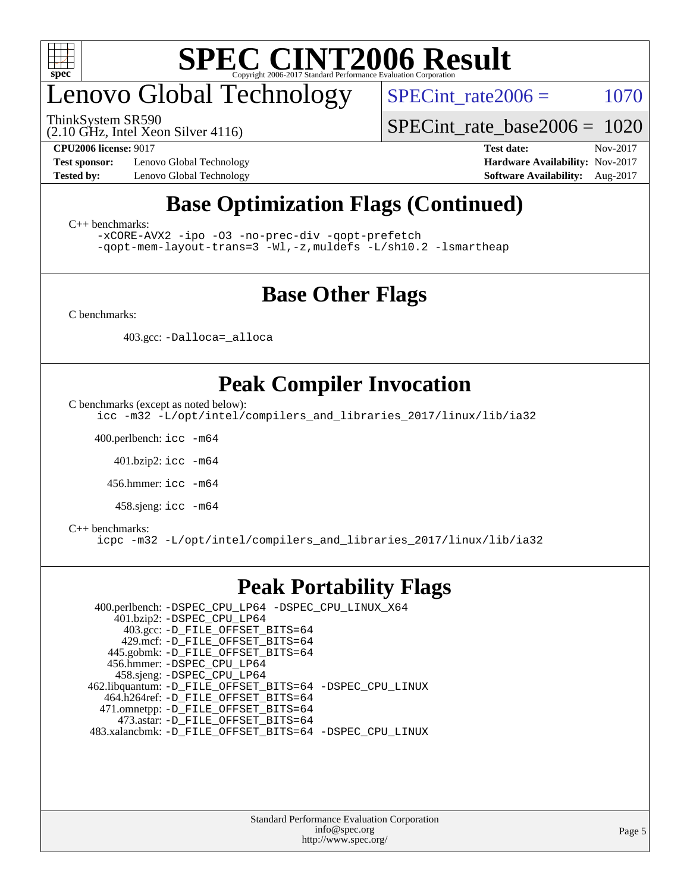

## enovo Global Technology

ThinkSystem SR590

SPECint rate $2006 = 1070$ 

[SPECint\\_rate\\_base2006 =](http://www.spec.org/auto/cpu2006/Docs/result-fields.html#SPECintratebase2006) 1020

(2.10 GHz, Intel Xeon Silver 4116)

**[Test sponsor:](http://www.spec.org/auto/cpu2006/Docs/result-fields.html#Testsponsor)** Lenovo Global Technology **[Hardware Availability:](http://www.spec.org/auto/cpu2006/Docs/result-fields.html#HardwareAvailability)** Nov-2017

**[CPU2006 license:](http://www.spec.org/auto/cpu2006/Docs/result-fields.html#CPU2006license)** 9017 **[Test date:](http://www.spec.org/auto/cpu2006/Docs/result-fields.html#Testdate)** Nov-2017 **[Tested by:](http://www.spec.org/auto/cpu2006/Docs/result-fields.html#Testedby)** Lenovo Global Technology **[Software Availability:](http://www.spec.org/auto/cpu2006/Docs/result-fields.html#SoftwareAvailability)** Aug-2017

### **[Base Optimization Flags \(Continued\)](http://www.spec.org/auto/cpu2006/Docs/result-fields.html#BaseOptimizationFlags)**

[C++ benchmarks:](http://www.spec.org/auto/cpu2006/Docs/result-fields.html#CXXbenchmarks)

[-xCORE-AVX2](http://www.spec.org/cpu2006/results/res2017q4/cpu2006-20171128-50921.flags.html#user_CXXbase_f-xCORE-AVX2) [-ipo](http://www.spec.org/cpu2006/results/res2017q4/cpu2006-20171128-50921.flags.html#user_CXXbase_f-ipo) [-O3](http://www.spec.org/cpu2006/results/res2017q4/cpu2006-20171128-50921.flags.html#user_CXXbase_f-O3) [-no-prec-div](http://www.spec.org/cpu2006/results/res2017q4/cpu2006-20171128-50921.flags.html#user_CXXbase_f-no-prec-div) [-qopt-prefetch](http://www.spec.org/cpu2006/results/res2017q4/cpu2006-20171128-50921.flags.html#user_CXXbase_f-qopt-prefetch) [-qopt-mem-layout-trans=3](http://www.spec.org/cpu2006/results/res2017q4/cpu2006-20171128-50921.flags.html#user_CXXbase_f-qopt-mem-layout-trans_170f5be61cd2cedc9b54468c59262d5d) [-Wl,-z,muldefs](http://www.spec.org/cpu2006/results/res2017q4/cpu2006-20171128-50921.flags.html#user_CXXbase_link_force_multiple1_74079c344b956b9658436fd1b6dd3a8a) [-L/sh10.2 -lsmartheap](http://www.spec.org/cpu2006/results/res2017q4/cpu2006-20171128-50921.flags.html#user_CXXbase_SmartHeap_b831f2d313e2fffa6dfe3f00ffc1f1c0)

### **[Base Other Flags](http://www.spec.org/auto/cpu2006/Docs/result-fields.html#BaseOtherFlags)**

[C benchmarks](http://www.spec.org/auto/cpu2006/Docs/result-fields.html#Cbenchmarks):

403.gcc: [-Dalloca=\\_alloca](http://www.spec.org/cpu2006/results/res2017q4/cpu2006-20171128-50921.flags.html#b403.gcc_baseEXTRA_CFLAGS_Dalloca_be3056838c12de2578596ca5467af7f3)

### **[Peak Compiler Invocation](http://www.spec.org/auto/cpu2006/Docs/result-fields.html#PeakCompilerInvocation)**

[C benchmarks \(except as noted below\)](http://www.spec.org/auto/cpu2006/Docs/result-fields.html#Cbenchmarksexceptasnotedbelow):

[icc -m32 -L/opt/intel/compilers\\_and\\_libraries\\_2017/linux/lib/ia32](http://www.spec.org/cpu2006/results/res2017q4/cpu2006-20171128-50921.flags.html#user_CCpeak_intel_icc_c29f3ff5a7ed067b11e4ec10a03f03ae)

400.perlbench: [icc -m64](http://www.spec.org/cpu2006/results/res2017q4/cpu2006-20171128-50921.flags.html#user_peakCCLD400_perlbench_intel_icc_64bit_bda6cc9af1fdbb0edc3795bac97ada53)

401.bzip2: [icc -m64](http://www.spec.org/cpu2006/results/res2017q4/cpu2006-20171128-50921.flags.html#user_peakCCLD401_bzip2_intel_icc_64bit_bda6cc9af1fdbb0edc3795bac97ada53)

456.hmmer: [icc -m64](http://www.spec.org/cpu2006/results/res2017q4/cpu2006-20171128-50921.flags.html#user_peakCCLD456_hmmer_intel_icc_64bit_bda6cc9af1fdbb0edc3795bac97ada53)

458.sjeng: [icc -m64](http://www.spec.org/cpu2006/results/res2017q4/cpu2006-20171128-50921.flags.html#user_peakCCLD458_sjeng_intel_icc_64bit_bda6cc9af1fdbb0edc3795bac97ada53)

#### [C++ benchmarks:](http://www.spec.org/auto/cpu2006/Docs/result-fields.html#CXXbenchmarks)

[icpc -m32 -L/opt/intel/compilers\\_and\\_libraries\\_2017/linux/lib/ia32](http://www.spec.org/cpu2006/results/res2017q4/cpu2006-20171128-50921.flags.html#user_CXXpeak_intel_icpc_8c35c7808b62dab9ae41a1aa06361b6b)

#### **[Peak Portability Flags](http://www.spec.org/auto/cpu2006/Docs/result-fields.html#PeakPortabilityFlags)**

 400.perlbench: [-DSPEC\\_CPU\\_LP64](http://www.spec.org/cpu2006/results/res2017q4/cpu2006-20171128-50921.flags.html#b400.perlbench_peakCPORTABILITY_DSPEC_CPU_LP64) [-DSPEC\\_CPU\\_LINUX\\_X64](http://www.spec.org/cpu2006/results/res2017q4/cpu2006-20171128-50921.flags.html#b400.perlbench_peakCPORTABILITY_DSPEC_CPU_LINUX_X64) 401.bzip2: [-DSPEC\\_CPU\\_LP64](http://www.spec.org/cpu2006/results/res2017q4/cpu2006-20171128-50921.flags.html#suite_peakCPORTABILITY401_bzip2_DSPEC_CPU_LP64) 403.gcc: [-D\\_FILE\\_OFFSET\\_BITS=64](http://www.spec.org/cpu2006/results/res2017q4/cpu2006-20171128-50921.flags.html#user_peakPORTABILITY403_gcc_file_offset_bits_64_438cf9856305ebd76870a2c6dc2689ab) 429.mcf: [-D\\_FILE\\_OFFSET\\_BITS=64](http://www.spec.org/cpu2006/results/res2017q4/cpu2006-20171128-50921.flags.html#user_peakPORTABILITY429_mcf_file_offset_bits_64_438cf9856305ebd76870a2c6dc2689ab) 445.gobmk: [-D\\_FILE\\_OFFSET\\_BITS=64](http://www.spec.org/cpu2006/results/res2017q4/cpu2006-20171128-50921.flags.html#user_peakPORTABILITY445_gobmk_file_offset_bits_64_438cf9856305ebd76870a2c6dc2689ab) 456.hmmer: [-DSPEC\\_CPU\\_LP64](http://www.spec.org/cpu2006/results/res2017q4/cpu2006-20171128-50921.flags.html#suite_peakCPORTABILITY456_hmmer_DSPEC_CPU_LP64) 458.sjeng: [-DSPEC\\_CPU\\_LP64](http://www.spec.org/cpu2006/results/res2017q4/cpu2006-20171128-50921.flags.html#suite_peakCPORTABILITY458_sjeng_DSPEC_CPU_LP64) 462.libquantum: [-D\\_FILE\\_OFFSET\\_BITS=64](http://www.spec.org/cpu2006/results/res2017q4/cpu2006-20171128-50921.flags.html#user_peakPORTABILITY462_libquantum_file_offset_bits_64_438cf9856305ebd76870a2c6dc2689ab) [-DSPEC\\_CPU\\_LINUX](http://www.spec.org/cpu2006/results/res2017q4/cpu2006-20171128-50921.flags.html#b462.libquantum_peakCPORTABILITY_DSPEC_CPU_LINUX) 464.h264ref: [-D\\_FILE\\_OFFSET\\_BITS=64](http://www.spec.org/cpu2006/results/res2017q4/cpu2006-20171128-50921.flags.html#user_peakPORTABILITY464_h264ref_file_offset_bits_64_438cf9856305ebd76870a2c6dc2689ab) 471.omnetpp: [-D\\_FILE\\_OFFSET\\_BITS=64](http://www.spec.org/cpu2006/results/res2017q4/cpu2006-20171128-50921.flags.html#user_peakPORTABILITY471_omnetpp_file_offset_bits_64_438cf9856305ebd76870a2c6dc2689ab) 473.astar: [-D\\_FILE\\_OFFSET\\_BITS=64](http://www.spec.org/cpu2006/results/res2017q4/cpu2006-20171128-50921.flags.html#user_peakPORTABILITY473_astar_file_offset_bits_64_438cf9856305ebd76870a2c6dc2689ab) 483.xalancbmk: [-D\\_FILE\\_OFFSET\\_BITS=64](http://www.spec.org/cpu2006/results/res2017q4/cpu2006-20171128-50921.flags.html#user_peakPORTABILITY483_xalancbmk_file_offset_bits_64_438cf9856305ebd76870a2c6dc2689ab) [-DSPEC\\_CPU\\_LINUX](http://www.spec.org/cpu2006/results/res2017q4/cpu2006-20171128-50921.flags.html#b483.xalancbmk_peakCXXPORTABILITY_DSPEC_CPU_LINUX)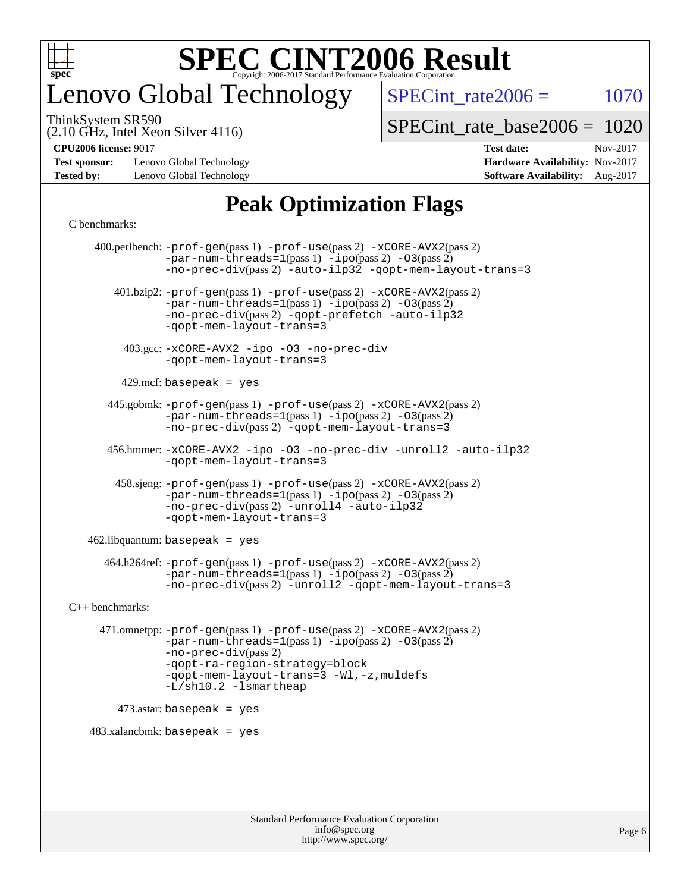

## enovo Global Technology

SPECint rate $2006 = 1070$ 

(2.10 GHz, Intel Xeon Silver 4116) ThinkSystem SR590

[SPECint\\_rate\\_base2006 =](http://www.spec.org/auto/cpu2006/Docs/result-fields.html#SPECintratebase2006) 1020

**[Test sponsor:](http://www.spec.org/auto/cpu2006/Docs/result-fields.html#Testsponsor)** Lenovo Global Technology **[Hardware Availability:](http://www.spec.org/auto/cpu2006/Docs/result-fields.html#HardwareAvailability)** Nov-2017 **[Tested by:](http://www.spec.org/auto/cpu2006/Docs/result-fields.html#Testedby)** Lenovo Global Technology **[Software Availability:](http://www.spec.org/auto/cpu2006/Docs/result-fields.html#SoftwareAvailability)** Aug-2017

**[CPU2006 license:](http://www.spec.org/auto/cpu2006/Docs/result-fields.html#CPU2006license)** 9017 **[Test date:](http://www.spec.org/auto/cpu2006/Docs/result-fields.html#Testdate)** Nov-2017

### **[Peak Optimization Flags](http://www.spec.org/auto/cpu2006/Docs/result-fields.html#PeakOptimizationFlags)**

#### [C benchmarks](http://www.spec.org/auto/cpu2006/Docs/result-fields.html#Cbenchmarks):

 400.perlbench: [-prof-gen](http://www.spec.org/cpu2006/results/res2017q4/cpu2006-20171128-50921.flags.html#user_peakPASS1_CFLAGSPASS1_LDCFLAGS400_perlbench_prof_gen_e43856698f6ca7b7e442dfd80e94a8fc)(pass 1) [-prof-use](http://www.spec.org/cpu2006/results/res2017q4/cpu2006-20171128-50921.flags.html#user_peakPASS2_CFLAGSPASS2_LDCFLAGS400_perlbench_prof_use_bccf7792157ff70d64e32fe3e1250b55)(pass 2) [-xCORE-AVX2](http://www.spec.org/cpu2006/results/res2017q4/cpu2006-20171128-50921.flags.html#user_peakPASS2_CFLAGSPASS2_LDCFLAGS400_perlbench_f-xCORE-AVX2)(pass 2)  $-par-num-threads=1(pass 1) -ipo(pass 2) -O3(pass 2)$  $-par-num-threads=1(pass 1) -ipo(pass 2) -O3(pass 2)$  $-par-num-threads=1(pass 1) -ipo(pass 2) -O3(pass 2)$  $-par-num-threads=1(pass 1) -ipo(pass 2) -O3(pass 2)$  $-par-num-threads=1(pass 1) -ipo(pass 2) -O3(pass 2)$  $-par-num-threads=1(pass 1) -ipo(pass 2) -O3(pass 2)$ [-no-prec-div](http://www.spec.org/cpu2006/results/res2017q4/cpu2006-20171128-50921.flags.html#user_peakPASS2_CFLAGSPASS2_LDCFLAGS400_perlbench_f-no-prec-div)(pass 2) [-auto-ilp32](http://www.spec.org/cpu2006/results/res2017q4/cpu2006-20171128-50921.flags.html#user_peakCOPTIMIZE400_perlbench_f-auto-ilp32) [-qopt-mem-layout-trans=3](http://www.spec.org/cpu2006/results/res2017q4/cpu2006-20171128-50921.flags.html#user_peakCOPTIMIZE400_perlbench_f-qopt-mem-layout-trans_170f5be61cd2cedc9b54468c59262d5d) 401.bzip2: [-prof-gen](http://www.spec.org/cpu2006/results/res2017q4/cpu2006-20171128-50921.flags.html#user_peakPASS1_CFLAGSPASS1_LDCFLAGS401_bzip2_prof_gen_e43856698f6ca7b7e442dfd80e94a8fc)(pass 1) [-prof-use](http://www.spec.org/cpu2006/results/res2017q4/cpu2006-20171128-50921.flags.html#user_peakPASS2_CFLAGSPASS2_LDCFLAGS401_bzip2_prof_use_bccf7792157ff70d64e32fe3e1250b55)(pass 2) [-xCORE-AVX2](http://www.spec.org/cpu2006/results/res2017q4/cpu2006-20171128-50921.flags.html#user_peakPASS2_CFLAGSPASS2_LDCFLAGS401_bzip2_f-xCORE-AVX2)(pass 2) [-par-num-threads=1](http://www.spec.org/cpu2006/results/res2017q4/cpu2006-20171128-50921.flags.html#user_peakPASS1_CFLAGSPASS1_LDCFLAGS401_bzip2_par_num_threads_786a6ff141b4e9e90432e998842df6c2)(pass 1) [-ipo](http://www.spec.org/cpu2006/results/res2017q4/cpu2006-20171128-50921.flags.html#user_peakPASS2_CFLAGSPASS2_LDCFLAGS401_bzip2_f-ipo)(pass 2) [-O3](http://www.spec.org/cpu2006/results/res2017q4/cpu2006-20171128-50921.flags.html#user_peakPASS2_CFLAGSPASS2_LDCFLAGS401_bzip2_f-O3)(pass 2) [-no-prec-div](http://www.spec.org/cpu2006/results/res2017q4/cpu2006-20171128-50921.flags.html#user_peakPASS2_CFLAGSPASS2_LDCFLAGS401_bzip2_f-no-prec-div)(pass 2) [-qopt-prefetch](http://www.spec.org/cpu2006/results/res2017q4/cpu2006-20171128-50921.flags.html#user_peakCOPTIMIZE401_bzip2_f-qopt-prefetch) [-auto-ilp32](http://www.spec.org/cpu2006/results/res2017q4/cpu2006-20171128-50921.flags.html#user_peakCOPTIMIZE401_bzip2_f-auto-ilp32) [-qopt-mem-layout-trans=3](http://www.spec.org/cpu2006/results/res2017q4/cpu2006-20171128-50921.flags.html#user_peakCOPTIMIZE401_bzip2_f-qopt-mem-layout-trans_170f5be61cd2cedc9b54468c59262d5d) 403.gcc: [-xCORE-AVX2](http://www.spec.org/cpu2006/results/res2017q4/cpu2006-20171128-50921.flags.html#user_peakOPTIMIZE403_gcc_f-xCORE-AVX2) [-ipo](http://www.spec.org/cpu2006/results/res2017q4/cpu2006-20171128-50921.flags.html#user_peakOPTIMIZE403_gcc_f-ipo) [-O3](http://www.spec.org/cpu2006/results/res2017q4/cpu2006-20171128-50921.flags.html#user_peakOPTIMIZE403_gcc_f-O3) [-no-prec-div](http://www.spec.org/cpu2006/results/res2017q4/cpu2006-20171128-50921.flags.html#user_peakOPTIMIZE403_gcc_f-no-prec-div) [-qopt-mem-layout-trans=3](http://www.spec.org/cpu2006/results/res2017q4/cpu2006-20171128-50921.flags.html#user_peakCOPTIMIZE403_gcc_f-qopt-mem-layout-trans_170f5be61cd2cedc9b54468c59262d5d)  $429$ .mcf: basepeak = yes 445.gobmk: [-prof-gen](http://www.spec.org/cpu2006/results/res2017q4/cpu2006-20171128-50921.flags.html#user_peakPASS1_CFLAGSPASS1_LDCFLAGS445_gobmk_prof_gen_e43856698f6ca7b7e442dfd80e94a8fc)(pass 1) [-prof-use](http://www.spec.org/cpu2006/results/res2017q4/cpu2006-20171128-50921.flags.html#user_peakPASS2_CFLAGSPASS2_LDCFLAGSPASS2_LDFLAGS445_gobmk_prof_use_bccf7792157ff70d64e32fe3e1250b55)(pass 2) [-xCORE-AVX2](http://www.spec.org/cpu2006/results/res2017q4/cpu2006-20171128-50921.flags.html#user_peakPASS2_CFLAGSPASS2_LDCFLAGSPASS2_LDFLAGS445_gobmk_f-xCORE-AVX2)(pass 2)  $-par-num-threads=1(pass 1) -ipo(pass 2) -O3(pass 2)$  $-par-num-threads=1(pass 1) -ipo(pass 2) -O3(pass 2)$  $-par-num-threads=1(pass 1) -ipo(pass 2) -O3(pass 2)$  $-par-num-threads=1(pass 1) -ipo(pass 2) -O3(pass 2)$  $-par-num-threads=1(pass 1) -ipo(pass 2) -O3(pass 2)$  $-par-num-threads=1(pass 1) -ipo(pass 2) -O3(pass 2)$ [-no-prec-div](http://www.spec.org/cpu2006/results/res2017q4/cpu2006-20171128-50921.flags.html#user_peakPASS2_LDCFLAGS445_gobmk_f-no-prec-div)(pass 2) [-qopt-mem-layout-trans=3](http://www.spec.org/cpu2006/results/res2017q4/cpu2006-20171128-50921.flags.html#user_peakCOPTIMIZE445_gobmk_f-qopt-mem-layout-trans_170f5be61cd2cedc9b54468c59262d5d) 456.hmmer: [-xCORE-AVX2](http://www.spec.org/cpu2006/results/res2017q4/cpu2006-20171128-50921.flags.html#user_peakOPTIMIZE456_hmmer_f-xCORE-AVX2) [-ipo](http://www.spec.org/cpu2006/results/res2017q4/cpu2006-20171128-50921.flags.html#user_peakOPTIMIZE456_hmmer_f-ipo) [-O3](http://www.spec.org/cpu2006/results/res2017q4/cpu2006-20171128-50921.flags.html#user_peakOPTIMIZE456_hmmer_f-O3) [-no-prec-div](http://www.spec.org/cpu2006/results/res2017q4/cpu2006-20171128-50921.flags.html#user_peakOPTIMIZE456_hmmer_f-no-prec-div) [-unroll2](http://www.spec.org/cpu2006/results/res2017q4/cpu2006-20171128-50921.flags.html#user_peakCOPTIMIZE456_hmmer_f-unroll_784dae83bebfb236979b41d2422d7ec2) [-auto-ilp32](http://www.spec.org/cpu2006/results/res2017q4/cpu2006-20171128-50921.flags.html#user_peakCOPTIMIZE456_hmmer_f-auto-ilp32) [-qopt-mem-layout-trans=3](http://www.spec.org/cpu2006/results/res2017q4/cpu2006-20171128-50921.flags.html#user_peakCOPTIMIZE456_hmmer_f-qopt-mem-layout-trans_170f5be61cd2cedc9b54468c59262d5d) 458.sjeng: [-prof-gen](http://www.spec.org/cpu2006/results/res2017q4/cpu2006-20171128-50921.flags.html#user_peakPASS1_CFLAGSPASS1_LDCFLAGS458_sjeng_prof_gen_e43856698f6ca7b7e442dfd80e94a8fc)(pass 1) [-prof-use](http://www.spec.org/cpu2006/results/res2017q4/cpu2006-20171128-50921.flags.html#user_peakPASS2_CFLAGSPASS2_LDCFLAGS458_sjeng_prof_use_bccf7792157ff70d64e32fe3e1250b55)(pass 2) [-xCORE-AVX2](http://www.spec.org/cpu2006/results/res2017q4/cpu2006-20171128-50921.flags.html#user_peakPASS2_CFLAGSPASS2_LDCFLAGS458_sjeng_f-xCORE-AVX2)(pass 2)  $-par-num-threads=1(pass 1) -ipo(pass 2) -O3(pass 2)$  $-par-num-threads=1(pass 1) -ipo(pass 2) -O3(pass 2)$  $-par-num-threads=1(pass 1) -ipo(pass 2) -O3(pass 2)$  $-par-num-threads=1(pass 1) -ipo(pass 2) -O3(pass 2)$  $-par-num-threads=1(pass 1) -ipo(pass 2) -O3(pass 2)$  $-par-num-threads=1(pass 1) -ipo(pass 2) -O3(pass 2)$ [-no-prec-div](http://www.spec.org/cpu2006/results/res2017q4/cpu2006-20171128-50921.flags.html#user_peakPASS2_CFLAGSPASS2_LDCFLAGS458_sjeng_f-no-prec-div)(pass 2) [-unroll4](http://www.spec.org/cpu2006/results/res2017q4/cpu2006-20171128-50921.flags.html#user_peakCOPTIMIZE458_sjeng_f-unroll_4e5e4ed65b7fd20bdcd365bec371b81f) [-auto-ilp32](http://www.spec.org/cpu2006/results/res2017q4/cpu2006-20171128-50921.flags.html#user_peakCOPTIMIZE458_sjeng_f-auto-ilp32) [-qopt-mem-layout-trans=3](http://www.spec.org/cpu2006/results/res2017q4/cpu2006-20171128-50921.flags.html#user_peakCOPTIMIZE458_sjeng_f-qopt-mem-layout-trans_170f5be61cd2cedc9b54468c59262d5d)  $462$ .libquantum: basepeak = yes 464.h264ref: [-prof-gen](http://www.spec.org/cpu2006/results/res2017q4/cpu2006-20171128-50921.flags.html#user_peakPASS1_CFLAGSPASS1_LDCFLAGS464_h264ref_prof_gen_e43856698f6ca7b7e442dfd80e94a8fc)(pass 1) [-prof-use](http://www.spec.org/cpu2006/results/res2017q4/cpu2006-20171128-50921.flags.html#user_peakPASS2_CFLAGSPASS2_LDCFLAGS464_h264ref_prof_use_bccf7792157ff70d64e32fe3e1250b55)(pass 2) [-xCORE-AVX2](http://www.spec.org/cpu2006/results/res2017q4/cpu2006-20171128-50921.flags.html#user_peakPASS2_CFLAGSPASS2_LDCFLAGS464_h264ref_f-xCORE-AVX2)(pass 2)  $-par-num-threads=1(pass 1) -ipo(pass 2) -O3(pass 2)$  $-par-num-threads=1(pass 1) -ipo(pass 2) -O3(pass 2)$  $-par-num-threads=1(pass 1) -ipo(pass 2) -O3(pass 2)$  $-par-num-threads=1(pass 1) -ipo(pass 2) -O3(pass 2)$  $-par-num-threads=1(pass 1) -ipo(pass 2) -O3(pass 2)$  $-par-num-threads=1(pass 1) -ipo(pass 2) -O3(pass 2)$ [-no-prec-div](http://www.spec.org/cpu2006/results/res2017q4/cpu2006-20171128-50921.flags.html#user_peakPASS2_CFLAGSPASS2_LDCFLAGS464_h264ref_f-no-prec-div)(pass 2) [-unroll2](http://www.spec.org/cpu2006/results/res2017q4/cpu2006-20171128-50921.flags.html#user_peakCOPTIMIZE464_h264ref_f-unroll_784dae83bebfb236979b41d2422d7ec2) [-qopt-mem-layout-trans=3](http://www.spec.org/cpu2006/results/res2017q4/cpu2006-20171128-50921.flags.html#user_peakCOPTIMIZE464_h264ref_f-qopt-mem-layout-trans_170f5be61cd2cedc9b54468c59262d5d) [C++ benchmarks:](http://www.spec.org/auto/cpu2006/Docs/result-fields.html#CXXbenchmarks) 471.omnetpp: [-prof-gen](http://www.spec.org/cpu2006/results/res2017q4/cpu2006-20171128-50921.flags.html#user_peakPASS1_CXXFLAGSPASS1_LDCXXFLAGS471_omnetpp_prof_gen_e43856698f6ca7b7e442dfd80e94a8fc)(pass 1) [-prof-use](http://www.spec.org/cpu2006/results/res2017q4/cpu2006-20171128-50921.flags.html#user_peakPASS2_CXXFLAGSPASS2_LDCXXFLAGS471_omnetpp_prof_use_bccf7792157ff70d64e32fe3e1250b55)(pass 2) [-xCORE-AVX2](http://www.spec.org/cpu2006/results/res2017q4/cpu2006-20171128-50921.flags.html#user_peakPASS2_CXXFLAGSPASS2_LDCXXFLAGS471_omnetpp_f-xCORE-AVX2)(pass 2)  $-par-num-threads=1(pass 1) -ipo(pass 2) -O3(pass 2)$  $-par-num-threads=1(pass 1) -ipo(pass 2) -O3(pass 2)$  $-par-num-threads=1(pass 1) -ipo(pass 2) -O3(pass 2)$  $-par-num-threads=1(pass 1) -ipo(pass 2) -O3(pass 2)$  $-par-num-threads=1(pass 1) -ipo(pass 2) -O3(pass 2)$  $-par-num-threads=1(pass 1) -ipo(pass 2) -O3(pass 2)$ [-no-prec-div](http://www.spec.org/cpu2006/results/res2017q4/cpu2006-20171128-50921.flags.html#user_peakPASS2_CXXFLAGSPASS2_LDCXXFLAGS471_omnetpp_f-no-prec-div)(pass 2) [-qopt-ra-region-strategy=block](http://www.spec.org/cpu2006/results/res2017q4/cpu2006-20171128-50921.flags.html#user_peakCXXOPTIMIZE471_omnetpp_f-qopt-ra-region-strategy_430aa8f7c220cbde92ae827fa8d9be32)  [-qopt-mem-layout-trans=3](http://www.spec.org/cpu2006/results/res2017q4/cpu2006-20171128-50921.flags.html#user_peakCXXOPTIMIZE471_omnetpp_f-qopt-mem-layout-trans_170f5be61cd2cedc9b54468c59262d5d) [-Wl,-z,muldefs](http://www.spec.org/cpu2006/results/res2017q4/cpu2006-20171128-50921.flags.html#user_peakEXTRA_LDFLAGS471_omnetpp_link_force_multiple1_74079c344b956b9658436fd1b6dd3a8a) [-L/sh10.2 -lsmartheap](http://www.spec.org/cpu2006/results/res2017q4/cpu2006-20171128-50921.flags.html#user_peakEXTRA_LIBS471_omnetpp_SmartHeap_b831f2d313e2fffa6dfe3f00ffc1f1c0) 473.astar: basepeak = yes  $483.xalanchmk: basepeak = yes$